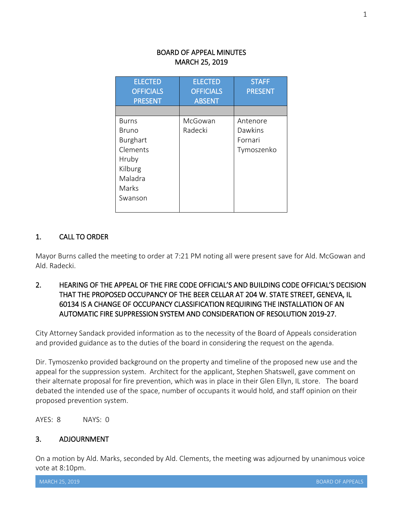## BOARD OF APPEAL MINUTES MARCH 25, 2019

| <b>ELECTED</b><br><b>OFFICIALS</b><br><b>PRESENT</b>                                                    | <b>ELECTED</b><br><b>OFFICIALS</b><br><b>ABSENT</b> | <b>STAFF</b><br><b>PRESENT</b>               |
|---------------------------------------------------------------------------------------------------------|-----------------------------------------------------|----------------------------------------------|
|                                                                                                         |                                                     |                                              |
| <b>Burns</b><br>Bruno<br><b>Burghart</b><br>Clements<br>Hruby<br>Kilburg<br>Maladra<br>Marks<br>Swanson | McGowan<br>Radecki                                  | Antenore<br>Dawkins<br>Fornari<br>Tymoszenko |

## 1. CALL TO ORDER

Mayor Burns called the meeting to order at 7:21 PM noting all were present save for Ald. McGowan and Ald. Radecki.

## 2. HEARING OF THE APPEAL OF THE FIRE CODE OFFICIAL'S AND BUILDING CODE OFFICIAL'S DECISION THAT THE PROPOSED OCCUPANCY OF THE BEER CELLAR AT 204 W. STATE STREET, GENEVA, IL 60134 IS A CHANGE OF OCCUPANCY CLASSIFICATION REQUIRING THE INSTALLATION OF AN AUTOMATIC FIRE SUPPRESSION SYSTEM AND CONSIDERATION OF RESOLUTION 2019-27.

City Attorney Sandack provided information as to the necessity of the Board of Appeals consideration and provided guidance as to the duties of the board in considering the request on the agenda.

Dir. Tymoszenko provided background on the property and timeline of the proposed new use and the appeal for the suppression system. Architect for the applicant, Stephen Shatswell, gave comment on their alternate proposal for fire prevention, which was in place in their Glen Ellyn, IL store. The board debated the intended use of the space, number of occupants it would hold, and staff opinion on their proposed prevention system.

AYES: 8 NAYS: 0

## 3. ADJOURNMENT

On a motion by Ald. Marks, seconded by Ald. Clements, the meeting was adjourned by unanimous voice vote at 8:10pm.